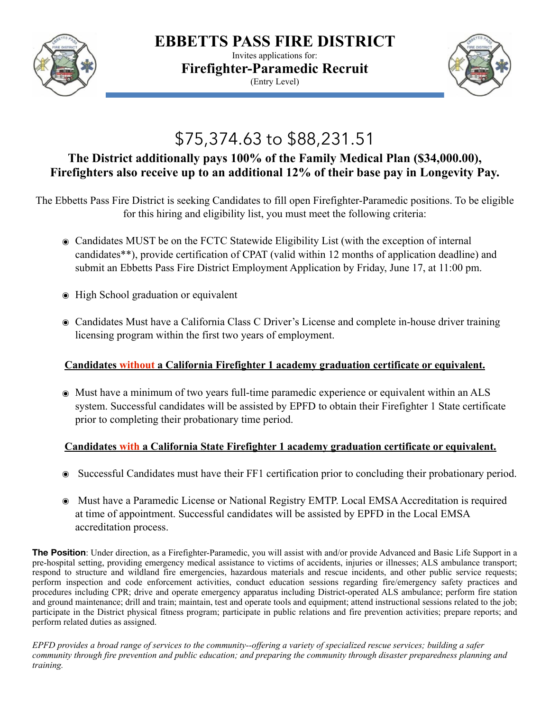

**EBBETTS PASS FIRE DISTRICT**

Invites applications for: **Firefighter-Paramedic Recruit** (Entry Level)



# \$75,374.63 to \$88,231.51

## **The District additionally pays 100% of the Family Medical Plan (\$34,000.00), Firefighters also receive up to an additional 12% of their base pay in Longevity Pay.**

The Ebbetts Pass Fire District is seeking Candidates to fill open Firefighter-Paramedic positions. To be eligible for this hiring and eligibility list, you must meet the following criteria:

- ๏ Candidates MUST be on the FCTC Statewide Eligibility List (with the exception of internal candidates\*\*), provide certification of CPAT (valid within 12 months of application deadline) and submit an Ebbetts Pass Fire District Employment Application by Friday, June 17, at 11:00 pm.
- ๏ High School graduation or equivalent
- ๏ Candidates Must have a California Class C Driver's License and complete in-house driver training licensing program within the first two years of employment.

## **Candidates without a California Firefighter 1 academy graduation certificate or equivalent.**

๏ Must have a minimum of two years full-time paramedic experience or equivalent within an ALS system. Successful candidates will be assisted by EPFD to obtain their Firefighter 1 State certificate prior to completing their probationary time period.

## **Candidates with a California State Firefighter 1 academy graduation certificate or equivalent.**

- ๏ Successful Candidates must have their FF1 certification prior to concluding their probationary period.
- ๏ Must have a Paramedic License or National Registry EMTP. Local EMSA Accreditation is required at time of appointment. Successful candidates will be assisted by EPFD in the Local EMSA accreditation process.

**The Position**: Under direction, as a Firefighter-Paramedic, you will assist with and/or provide Advanced and Basic Life Support in a pre-hospital setting, providing emergency medical assistance to victims of accidents, injuries or illnesses; ALS ambulance transport; respond to structure and wildland fire emergencies, hazardous materials and rescue incidents, and other public service requests; perform inspection and code enforcement activities, conduct education sessions regarding fire/emergency safety practices and procedures including CPR; drive and operate emergency apparatus including District-operated ALS ambulance; perform fire station and ground maintenance; drill and train; maintain, test and operate tools and equipment; attend instructional sessions related to the job; participate in the District physical fitness program; participate in public relations and fire prevention activities; prepare reports; and perform related duties as assigned.

*EPFD provides a broad range of services to the community--offering a variety of specialized rescue services; building a safer community through fire prevention and public education; and preparing the community through disaster preparedness planning and training.*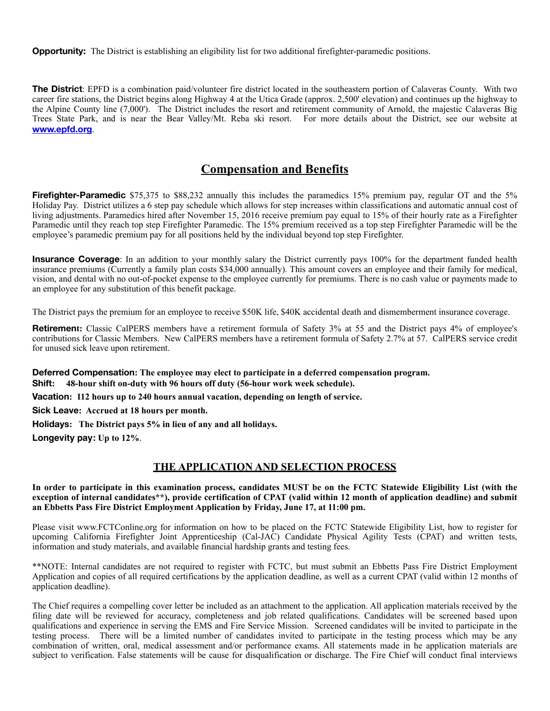**Opportunity:** The District is establishing an eligibility list for two additional firefighter-paramedic positions.

**The District**: EPFD is a combination paid/volunteer fire district located in the southeastern portion of Calaveras County. With two career fire stations, the District begins along Highway 4 at the Utica Grade (approx. 2,500' elevation) and continues up the highway to the Alpine County line (7,000'). The District includes the resort and retirement community of Arnold, the majestic Calaveras Big Trees State Park, and is near the Bear Valley/Mt. Reba ski resort. For more details about the District, see our website at **[www.epfd.org](http://www.epfd.org)**.

### **Compensation and Benefits**

**Firefighter-Paramedic** \$75,375 to \$88,232 annually this includes the paramedics 15% premium pay, regular OT and the 5% Holiday Pay. District utilizes a 6 step pay schedule which allows for step increases within classifications and automatic annual cost of living adjustments. Paramedics hired after November 15, 2016 receive premium pay equal to 15% of their hourly rate as a Firefighter Paramedic until they reach top step Firefighter Paramedic. The 15% premium received as a top step Firefighter Paramedic will be the employee's paramedic premium pay for all positions held by the individual beyond top step Firefighter.

**Insurance Coverage**: In an addition to your monthly salary the District currently pays 100% for the department funded health insurance premiums (Currently a family plan costs \$34,000 annually). This amount covers an employee and their family for medical, vision, and dental with no out-of-pocket expense to the employee currently for premiums. There is no cash value or payments made to an employee for any substitution of this benefit package.

The District pays the premium for an employee to receive \$50K life, \$40K accidental death and dismemberment insurance coverage.

**Retirement:** Classic CalPERS members have a retirement formula of Safety 3% at 55 and the District pays 4% of employee's contributions for Classic Members. New CalPERS members have a retirement formula of Safety 2.7% at 57. CalPERS service credit for unused sick leave upon retirement.

**Deferred Compensation: The employee may elect to participate in a deferred compensation program. Shift: 48-hour shift on-duty with 96 hours off duty (56-hour work week schedule).**

**Vacation: 112 hours up to 240 hours annual vacation, depending on length of service.**

**Sick Leave: Accrued at 18 hours per month.**

**Holidays: The District pays 5% in lieu of any and all holidays.**

**Longevity pay: Up to 12%**.

#### **THE APPLICATION AND SELECTION PROCESS**

**In order to participate in this examination process, candidates MUST be on the FCTC Statewide Eligibility List (with the exception of internal candidates\*\*), provide certification of CPAT (valid within 12 month of application deadline) and submit an Ebbetts Pass Fire District Employment Application by Friday, June 17, at 11:00 pm.** 

Please visit www.FCTConline.org for information on how to be placed on the FCTC Statewide Eligibility List, how to register for upcoming California Firefighter Joint Apprenticeship (Cal-JAC) Candidate Physical Agility Tests (CPAT) and written tests, information and study materials, and available financial hardship grants and testing fees.

\*\*NOTE: Internal candidates are not required to register with FCTC, but must submit an Ebbetts Pass Fire District Employment Application and copies of all required certifications by the application deadline, as well as a current CPAT (valid within 12 months of application deadline).

The Chief requires a compelling cover letter be included as an attachment to the application. All application materials received by the filing date will be reviewed for accuracy, completeness and job related qualifications. Candidates will be screened based upon qualifications and experience in serving the EMS and Fire Service Mission. Screened candidates will be invited to participate in the testing process. There will be a limited number of candidates invited to participate in the testing process which may be any combination of written, oral, medical assessment and/or performance exams. All statements made in he application materials are subject to verification. False statements will be cause for disqualification or discharge. The Fire Chief will conduct final interviews